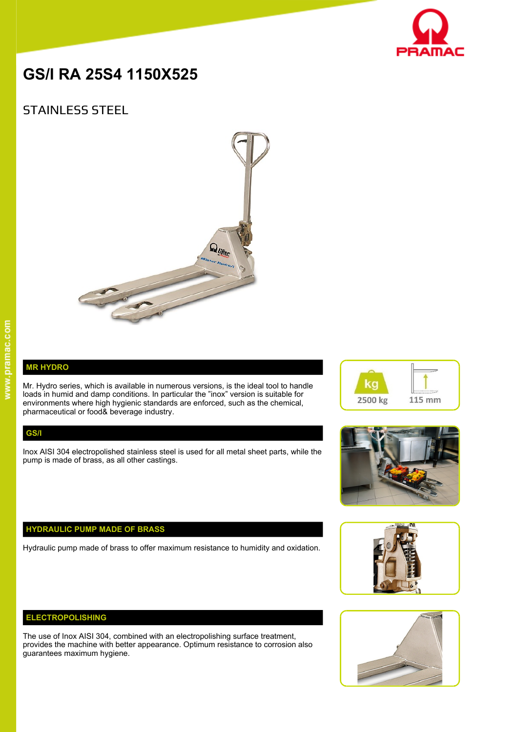

# **GS/I RA 25S4 1150X525**

# STAINLESS STEEL



# **MR HYDRO**

Mr. Hydro series, which is available in numerous versions, is the ideal tool to handle loads in humid and damp conditions. In particular the "inox" version is suitable for environments where high hygienic standards are enforced, such as the chemical, pharmaceutical or food& beverage industry.

#### **GS/I**

Inox AISI 304 electropolished stainless steel is used for all metal sheet parts, while the pump is made of brass, as all other castings.

## **HYDRAULIC PUMP MADE OF BRASS**

Hydraulic pump made of brass to offer maximum resistance to humidity and oxidation.

### **ELECTROPOLISHING**

The use of Inox AISI 304, combined with an electropolishing surface treatment, provides the machine with better appearance. Optimum resistance to corrosion also guarantees maximum hygiene.







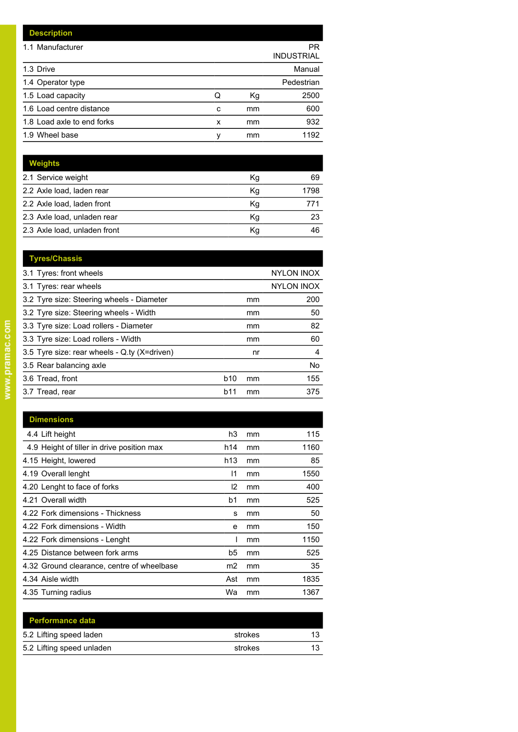| <b>Description</b>         |   |    |                         |
|----------------------------|---|----|-------------------------|
| 1.1 Manufacturer           |   |    | PR<br><b>INDUSTRIAL</b> |
| 1.3 Drive                  |   |    | Manual                  |
| 1.4 Operator type          |   |    | Pedestrian              |
| 1.5 Load capacity          | Q | Kg | 2500                    |
| 1.6 Load centre distance   | c | mm | 600                     |
| 1.8 Load axle to end forks | x | mm | 932                     |
| 1.9 Wheel base             | ٧ | mm | 1192                    |

| <b>Weights</b>               |    |      |
|------------------------------|----|------|
| 2.1 Service weight           | Kg | 69   |
| 2.2 Axle load, laden rear    | Kq | 1798 |
| 2.2 Axle load, laden front   | Kg |      |
| 2.3 Axle load, unladen rear  | Kg | 23   |
| 2.3 Axle load, unladen front | Κq | 46   |

| <b>Tyres/Chassis</b>                         |                   |    |                   |
|----------------------------------------------|-------------------|----|-------------------|
| 3.1 Tyres: front wheels                      |                   |    | <b>NYLON INOX</b> |
| 3.1 Tyres: rear wheels                       | <b>NYLON INOX</b> |    |                   |
| 3.2 Tyre size: Steering wheels - Diameter    |                   | mm | 200               |
| 3.2 Tyre size: Steering wheels - Width       |                   | mm | 50                |
| 3.3 Tyre size: Load rollers - Diameter       |                   | mm | 82                |
| 3.3 Tyre size: Load rollers - Width          |                   | mm | 60                |
| 3.5 Tyre size: rear wheels - Q.ty (X=driven) |                   | nr | 4                 |
| 3.5 Rear balancing axle                      |                   |    | No                |
| 3.6 Tread, front                             | <b>b10</b>        | mm | 155               |
| 3.7 Tread, rear                              | b11               | mm | 375               |
|                                              |                   |    |                   |

| <b>Dimensions</b>                          |     |    |      |
|--------------------------------------------|-----|----|------|
| 4.4 Lift height                            | h3  | mm | 115  |
| 4.9 Height of tiller in drive position max | h14 | mm | 1160 |
| 4.15 Height, lowered                       | h13 | mm | 85   |
| 4.19 Overall lenght                        | 11  | mm | 1550 |
| 4.20 Lenght to face of forks               | 12  | mm | 400  |
| 4.21 Overall width                         | b1  | mm | 525  |
| 4.22 Fork dimensions - Thickness           | s   | mm | 50   |
| 4.22 Fork dimensions - Width               | e   | mm | 150  |
| 4.22 Fork dimensions - Lenght              |     | mm | 1150 |
| 4.25 Distance between fork arms            | b5  | mm | 525  |
| 4.32 Ground clearance, centre of wheelbase | m2  | mm | 35   |
| 4.34 Aisle width                           | Ast | mm | 1835 |
| 4.35 Turning radius                        | Wa  | mm | 1367 |

| <b>Performance data</b>   |         |    |
|---------------------------|---------|----|
| 5.2 Lifting speed laden   | strokes | 12 |
| 5.2 Lifting speed unladen | strokes | 12 |